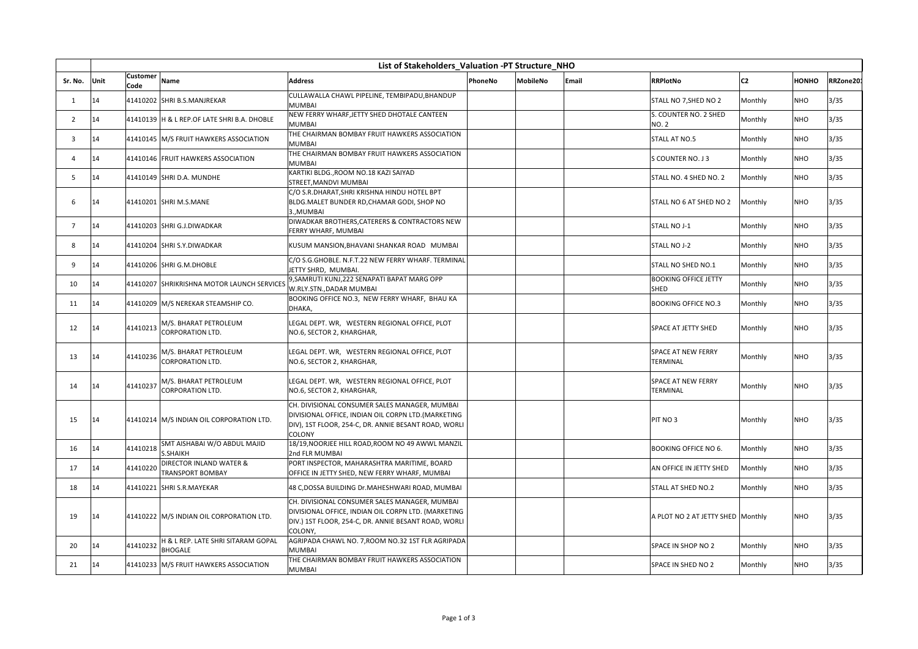|                | List of Stakeholders Valuation -PT Structure NHO |                                                                  |                                                                                                                                                                         |         |                 |       |                                              |                |              |           |
|----------------|--------------------------------------------------|------------------------------------------------------------------|-------------------------------------------------------------------------------------------------------------------------------------------------------------------------|---------|-----------------|-------|----------------------------------------------|----------------|--------------|-----------|
| Sr. No.        | Unit                                             | Customer<br>Name<br>Code                                         | <b>Address</b>                                                                                                                                                          | PhoneNo | <b>MobileNo</b> | Email | <b>RRPlotNo</b>                              | C <sub>2</sub> | <b>HONHO</b> | RRZone20: |
| 1              | 14                                               | 41410202 SHRI B.S.MANJREKAR                                      | CULLAWALLA CHAWL PIPELINE, TEMBIPADU, BHANDUP<br><b>MUMBAI</b>                                                                                                          |         |                 |       | STALL NO 7, SHED NO 2                        | Monthly        | <b>NHO</b>   | 3/35      |
| 2              | 14                                               | 41410139 H & L REP.OF LATE SHRI B.A. DHOBLE                      | NEW FERRY WHARF, JETTY SHED DHOTALE CANTEEN<br>MUMBAI                                                                                                                   |         |                 |       | S. COUNTER NO. 2 SHED<br><b>NO. 2</b>        | Monthly        | <b>NHO</b>   | 3/35      |
| 3              | 14                                               | 41410145 M/S FRUIT HAWKERS ASSOCIATION                           | THE CHAIRMAN BOMBAY FRUIT HAWKERS ASSOCIATION<br><b>MUMBAI</b>                                                                                                          |         |                 |       | <b>STALL AT NO.5</b>                         | Monthly        | <b>NHO</b>   | 3/35      |
| Δ              | 14                                               | 41410146 FRUIT HAWKERS ASSOCIATION                               | THE CHAIRMAN BOMBAY FRUIT HAWKERS ASSOCIATION<br><b>MUMBAI</b>                                                                                                          |         |                 |       | S COUNTER NO. J 3                            | Monthly        | <b>NHO</b>   | 3/35      |
| 5              | 14                                               | 41410149 SHRI D.A. MUNDHE                                        | KARTIKI BLDG., ROOM NO.18 KAZI SAIYAD<br>STREET, MANDVI MUMBAI                                                                                                          |         |                 |       | STALL NO. 4 SHED NO. 2                       | Monthly        | <b>NHO</b>   | 3/35      |
| 6              | 14                                               | 41410201 SHRI M.S.MANE                                           | C/O S.R.DHARAT, SHRI KRISHNA HINDU HOTEL BPT<br>BLDG.MALET BUNDER RD, CHAMAR GODI, SHOP NO<br>3., MUMBAI                                                                |         |                 |       | STALL NO 6 AT SHED NO 2                      | Monthly        | <b>NHO</b>   | 3/35      |
| $\overline{7}$ | 14                                               | 41410203 SHRI G.J.DIWADKAR                                       | DIWADKAR BROTHERS, CATERERS & CONTRACTORS NEW<br>FERRY WHARF, MUMBAI                                                                                                    |         |                 |       | STALL NO J-1                                 | Monthly        | <b>NHO</b>   | 3/35      |
| 8              | 14                                               | 41410204 SHRI S.Y.DIWADKAR                                       | KUSUM MANSION, BHAVANI SHANKAR ROAD MUMBAI                                                                                                                              |         |                 |       | STALL NO J-2                                 | Monthly        | <b>NHO</b>   | 3/35      |
| 9              | 14                                               | 41410206 SHRI G.M.DHOBLE                                         | C/O S.G.GHOBLE. N.F.T.22 NEW FERRY WHARF. TERMINAL<br>JETTY SHRD, MUMBAI.                                                                                               |         |                 |       | STALL NO SHED NO.1                           | Monthly        | <b>NHO</b>   | 3/35      |
| 10             | 14                                               | 41410207 SHRIKRISHNA MOTOR LAUNCH SERVICES                       | 9, SAMRUTI KUNJ, 222 SENAPATI BAPAT MARG OPP<br>W.RLY.STN., DADAR MUMBAI                                                                                                |         |                 |       | <b>BOOKING OFFICE JETTY</b><br><b>SHED</b>   | Monthly        | <b>NHO</b>   | 3/35      |
| 11             | 14                                               | 41410209 M/S NEREKAR STEAMSHIP CO.                               | BOOKING OFFICE NO.3, NEW FERRY WHARF, BHAU KA<br>DHAKA.                                                                                                                 |         |                 |       | <b>BOOKING OFFICE NO.3</b>                   | Monthly        | <b>NHO</b>   | 3/35      |
| 12             | 14                                               | M/S. BHARAT PETROLEUM<br>41410213<br><b>CORPORATION LTD.</b>     | LEGAL DEPT. WR, WESTERN REGIONAL OFFICE, PLOT<br>NO.6, SECTOR 2, KHARGHAR,                                                                                              |         |                 |       | <b>SPACE AT JETTY SHED</b>                   | Monthly        | <b>NHO</b>   | 3/35      |
| 13             | 14                                               | M/S. BHARAT PETROLEUM<br>41410236<br><b>CORPORATION LTD.</b>     | LEGAL DEPT. WR, WESTERN REGIONAL OFFICE, PLOT<br>NO.6, SECTOR 2, KHARGHAR,                                                                                              |         |                 |       | <b>SPACE AT NEW FERRY</b><br><b>TERMINAL</b> | Monthly        | <b>NHO</b>   | 3/35      |
| 14             | 14                                               | M/S. BHARAT PETROLEUM<br>41410237<br><b>CORPORATION LTD.</b>     | LEGAL DEPT. WR, WESTERN REGIONAL OFFICE, PLOT<br>NO.6, SECTOR 2, KHARGHAR,                                                                                              |         |                 |       | <b>SPACE AT NEW FERRY</b><br><b>TERMINAL</b> | Monthly        | <b>NHO</b>   | 3/35      |
| 15             | 14                                               | 41410214 M/S INDIAN OIL CORPORATION LTD.                         | CH. DIVISIONAL CONSUMER SALES MANAGER, MUMBAI<br>DIVISIONAL OFFICE, INDIAN OIL CORPN LTD.(MARKETING<br>DIV), 1ST FLOOR, 254-C, DR. ANNIE BESANT ROAD, WORLI<br>COLONY   |         |                 |       | PIT NO <sub>3</sub>                          | Monthly        | <b>NHO</b>   | 3/35      |
| 16             | 14                                               | SMT AISHABAI W/O ABDUL MAJID<br>41410218<br><b>S.SHAIKH</b>      | 18/19, NOORJEE HILL ROAD, ROOM NO 49 AWWL MANZIL<br>2nd FLR MUMBAI                                                                                                      |         |                 |       | <b>BOOKING OFFICE NO 6.</b>                  | Monthly        | <b>NHO</b>   | 3/35      |
| 17             | 14                                               | DIRECTOR INLAND WATER &<br>41410220<br><b>TRANSPORT BOMBAY</b>   | PORT INSPECTOR, MAHARASHTRA MARITIME, BOARD<br>OFFICE IN JETTY SHED, NEW FERRY WHARF, MUMBAI                                                                            |         |                 |       | AN OFFICE IN JETTY SHED                      | Monthly        | <b>NHO</b>   | 3/35      |
| 18             | 14                                               | 41410221 SHRI S.R.MAYEKAR                                        | 48 C,DOSSA BUILDING Dr.MAHESHWARI ROAD, MUMBAI                                                                                                                          |         |                 |       | <b>STALL AT SHED NO.2</b>                    | Monthly        | <b>NHO</b>   | 3/35      |
| 19             | 14                                               | 41410222 M/S INDIAN OIL CORPORATION LTD.                         | CH. DIVISIONAL CONSUMER SALES MANAGER, MUMBAI<br>DIVISIONAL OFFICE, INDIAN OIL CORPN LTD. (MARKETING<br>DIV.) 1ST FLOOR, 254-C, DR. ANNIE BESANT ROAD, WORLI<br>COLONY. |         |                 |       | A PLOT NO 2 AT JETTY SHED Monthly            |                | <b>NHO</b>   | 3/35      |
| 20             | 14                                               | H & L REP. LATE SHRI SITARAM GOPAL<br>41410232<br><b>BHOGALE</b> | AGRIPADA CHAWL NO. 7, ROOM NO.32 1ST FLR AGRIPADA<br><b>MUMBAI</b>                                                                                                      |         |                 |       | SPACE IN SHOP NO 2                           | Monthly        | <b>NHO</b>   | 3/35      |
| 21             | 14                                               | 41410233 M/S FRUIT HAWKERS ASSOCIATION                           | THE CHAIRMAN BOMBAY FRUIT HAWKERS ASSOCIATION<br><b>MUMBAI</b>                                                                                                          |         |                 |       | SPACE IN SHED NO 2                           | Monthly        | <b>NHO</b>   | 3/35      |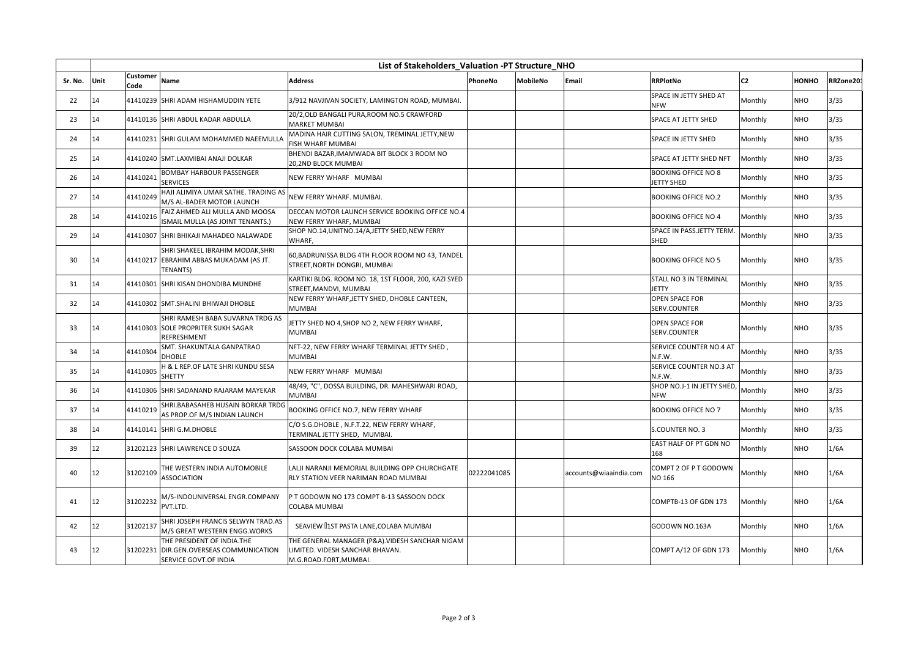|         | List of Stakeholders Valuation -PT Structure NHO |                  |                                                                                                |                                                                                                              |             |                 |                        |                                          |                |              |           |
|---------|--------------------------------------------------|------------------|------------------------------------------------------------------------------------------------|--------------------------------------------------------------------------------------------------------------|-------------|-----------------|------------------------|------------------------------------------|----------------|--------------|-----------|
| Sr. No. | Unit                                             | Customer<br>Code | Name                                                                                           | <b>Address</b>                                                                                               | PhoneNo     | <b>MobileNo</b> | Email                  | <b>RRPlotNo</b>                          | C <sub>2</sub> | <b>HONHO</b> | RRZone20: |
| 22      | 14                                               |                  | 41410239 SHRI ADAM HISHAMUDDIN YETE                                                            | 3/912 NAVJIVAN SOCIETY, LAMINGTON ROAD, MUMBAI.                                                              |             |                 |                        | SPACE IN JETTY SHED AT<br><b>NFW</b>     | Monthly        | <b>NHO</b>   | 3/35      |
| 23      | 14                                               |                  | 41410136 SHRI ABDUL KADAR ABDULLA                                                              | 20/2, OLD BANGALI PURA, ROOM NO.5 CRAWFORD<br><b>MARKET MUMBAI</b>                                           |             |                 |                        | SPACE AT JETTY SHED                      | Monthly        | <b>NHO</b>   | 3/35      |
| 24      | 14                                               |                  | 41410231  SHRI GULAM MOHAMMED NAEEMULLA                                                        | MADINA HAIR CUTTING SALON, TREMINAL JETTY, NEW<br><b>FISH WHARF MUMBAI</b>                                   |             |                 |                        | SPACE IN JETTY SHED                      | Monthly        | <b>NHO</b>   | 3/35      |
| 25      | 14                                               |                  | 41410240 SMT.LAXMIBAI ANAJI DOLKAR                                                             | BHENDI BAZAR, IMAMWADA BIT BLOCK 3 ROOM NO<br>20,2ND BLOCK MUMBAI                                            |             |                 |                        | SPACE AT JETTY SHED NFT                  | Monthly        | <b>NHO</b>   | 3/35      |
| 26      | 14                                               | 41410241         | BOMBAY HARBOUR PASSENGER<br><b>SERVICES</b>                                                    | NEW FERRY WHARF MUMBAI                                                                                       |             |                 |                        | <b>BOOKING OFFICE NO 8</b><br>JETTY SHED | Monthly        | <b>NHO</b>   | 3/35      |
| 27      | 14                                               | 41410249         | HAJI ALIMIYA UMAR SATHE. TRADING AS<br>M/S AL-BADER MOTOR LAUNCH                               | NEW FERRY WHARF. MUMBAI.                                                                                     |             |                 |                        | <b>BOOKING OFFICE NO.2</b>               | Monthly        | <b>NHO</b>   | 3/35      |
| 28      | 14                                               | 41410216         | FAIZ AHMED ALI MULLA AND MOOSA<br>ISMAIL MULLA (AS JOINT TENANTS.)                             | DECCAN MOTOR LAUNCH SERVICE BOOKING OFFICE NO.4<br>NEW FERRY WHARF, MUMBAI                                   |             |                 |                        | <b>BOOKING OFFICE NO 4</b>               | Monthly        | <b>NHO</b>   | 3/35      |
| 29      | 14                                               |                  | 41410307 SHRI BHIKAJI MAHADEO NALAWADE                                                         | SHOP NO.14, UNITNO.14/A, JETTY SHED, NEW FERRY<br>WHARF.                                                     |             |                 |                        | SPACE IN PASS.JETTY TERM.<br>SHED        | Monthly        | <b>NHO</b>   | 3/35      |
| 30      | 14                                               |                  | SHRI SHAKEEL IBRAHIM MODAK, SHRI<br>41410217 EBRAHIM ABBAS MUKADAM (AS JT.<br><b>TENANTS)</b>  | 60, BADRUNISSA BLDG 4TH FLOOR ROOM NO 43, TANDEL<br>STREET, NORTH DONGRI, MUMBAI                             |             |                 |                        | <b>BOOKING OFFICE NO 5</b>               | Monthly        | <b>NHO</b>   | 3/35      |
| 31      | 14                                               |                  | 41410301 SHRI KISAN DHONDIBA MUNDHE                                                            | KARTIKI BLDG. ROOM NO. 18, 1ST FLOOR, 200, KAZI SYED<br>STREET, MANDVI, MUMBAI                               |             |                 |                        | STALL NO 3 IN TERMINAL<br><b>JETTY</b>   | Monthly        | <b>NHO</b>   | 3/35      |
| 32      | 14                                               |                  | 41410302 SMT.SHALINI BHIWAJI DHOBLE                                                            | NEW FERRY WHARF, JETTY SHED, DHOBLE CANTEEN,<br><b>MUMBAI</b>                                                |             |                 |                        | OPEN SPACE FOR<br>SERV.COUNTER           | Monthly        | <b>NHO</b>   | 3/35      |
| 33      | 14                                               |                  | SHRI RAMESH BABA SUVARNA TRDG AS<br>41410303 SOLE PROPRITER SUKH SAGAR<br><b>REFRESHMENT</b>   | JETTY SHED NO 4, SHOP NO 2, NEW FERRY WHARF,<br><b>MUMBAI</b>                                                |             |                 |                        | OPEN SPACE FOR<br><b>SERV.COUNTER</b>    | Monthly        | <b>NHO</b>   | 3/35      |
| 34      | 14                                               | 41410304         | SMT. SHAKUNTALA GANPATRAO<br><b>DHOBLE</b>                                                     | NFT-22, NEW FERRY WHARF TERMINAL JETTY SHED,<br><b>MUMBAI</b>                                                |             |                 |                        | SERVICE COUNTER NO.4 AT<br>N.F.W.        | Monthly        | <b>NHO</b>   | 3/35      |
| 35      | 14                                               | 41410305         | H & L REP.OF LATE SHRI KUNDU SESA<br>SHETTY                                                    | NEW FERRY WHARF MUMBAI                                                                                       |             |                 |                        | SERVICE COUNTER NO.3 AT<br>N.F.W.        | Monthly        | <b>NHO</b>   | 3/35      |
| 36      | 14                                               |                  | 41410306 SHRI SADANAND RAJARAM MAYEKAR                                                         | 48/49, "C", DOSSA BUILDING, DR. MAHESHWARI ROAD,<br><b>MUMBAI</b>                                            |             |                 |                        | SHOP NO.J-1 IN JETTY SHED,<br><b>NFW</b> | Monthly        | <b>NHO</b>   | 3/35      |
| 37      | 14                                               | 41410219         | SHRI.BABASAHEB HUSAIN BORKAR TRDG<br>AS PROP.OF M/S INDIAN LAUNCH                              | BOOKING OFFICE NO.7, NEW FERRY WHARF                                                                         |             |                 |                        | <b>BOOKING OFFICE NO 7</b>               | Monthly        | <b>NHO</b>   | 3/35      |
| 38      | 14                                               |                  | 41410141 SHRI G.M.DHOBLE                                                                       | C/O S.G.DHOBLE, N.F.T.22, NEW FERRY WHARF,<br>TERMINAL JETTY SHED, MUMBAI.                                   |             |                 |                        | S.COUNTER NO. 3                          | Monthly        | <b>NHO</b>   | 3/35      |
| 39      | 12                                               |                  | 31202123 SHRI LAWRENCE D SOUZA                                                                 | SASSOON DOCK COLABA MUMBAI                                                                                   |             |                 |                        | EAST HALF OF PT GDN NO<br>168            | Monthly        | <b>NHO</b>   | 1/6A      |
| 40      | 12                                               | 31202109         | THE WESTERN INDIA AUTOMOBILE<br><b>ASSOCIATION</b>                                             | LALJI NARANJI MEMORIAL BUILDING OPP CHURCHGATE<br>RLY STATION VEER NARIMAN ROAD MUMBAI                       | 02222041085 |                 | accounts@wiaaindia.com | COMPT 2 OF P T GODOWN<br><b>NO 166</b>   | Monthly        | <b>NHO</b>   | 1/6A      |
| 41      | 12                                               | 31202232         | M/S-INDOUNIVERSAL ENGR.COMPANY<br>PVT.LTD.                                                     | P T GODOWN NO 173 COMPT B-13 SASSOON DOCK<br>COLABA MUMBAI                                                   |             |                 |                        | COMPTB-13 OF GDN 173                     | Monthly        | <b>NHO</b>   | 1/6A      |
| 42      | 12                                               | 31202137         | SHRI JOSEPH FRANCIS SELWYN TRAD.AS<br>M/S GREAT WESTERN ENGG. WORKS                            | SEAVIEW [1ST PASTA LANE, COLABA MUMBAI                                                                       |             |                 |                        | GODOWN NO.163A                           | Monthly        | <b>NHO</b>   | 1/6A      |
| 43      | 12                                               |                  | THE PRESIDENT OF INDIA.THE<br>31202231 DIR.GEN.OVERSEAS COMMUNICATION<br>SERVICE GOVT.OF INDIA | THE GENERAL MANAGER (P&A). VIDESH SANCHAR NIGAM<br>LIMITED. VIDESH SANCHAR BHAVAN.<br>M.G.ROAD.FORT, MUMBAI. |             |                 |                        | COMPT A/12 OF GDN 173                    | Monthly        | <b>NHO</b>   | 1/6A      |